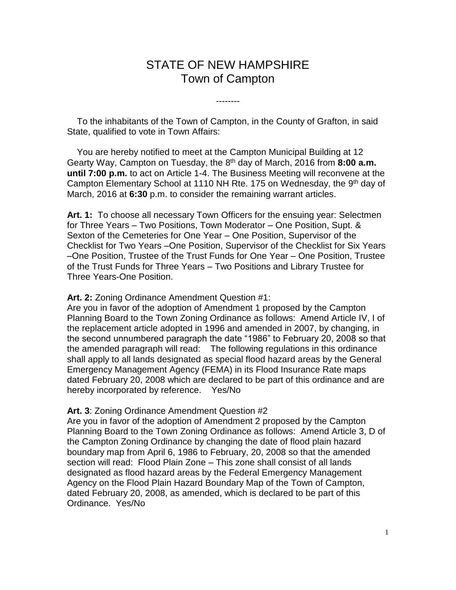# STATE OF NEW HAMPSHIRE Town of Campton

--------

 To the inhabitants of the Town of Campton, in the County of Grafton, in said State, qualified to vote in Town Affairs:

 You are hereby notified to meet at the Campton Municipal Building at 12 Gearty Way, Campton on Tuesday, the 8<sup>th</sup> day of March, 2016 from 8:00 a.m. **until 7:00 p.m.** to act on Article 1-4. The Business Meeting will reconvene at the Campton Elementary School at 1110 NH Rte. 175 on Wednesday, the 9<sup>th</sup> day of March, 2016 at **6:30** p.m. to consider the remaining warrant articles.

**Art. 1:** To choose all necessary Town Officers for the ensuing year: Selectmen for Three Years – Two Positions, Town Moderator – One Position, Supt. & Sexton of the Cemeteries for One Year – One Position, Supervisor of the Checklist for Two Years –One Position, Supervisor of the Checklist for Six Years –One Position, Trustee of the Trust Funds for One Year – One Position, Trustee of the Trust Funds for Three Years – Two Positions and Library Trustee for Three Years-One Position.

#### **Art. 2:** Zoning Ordinance Amendment Question #1:

Are you in favor of the adoption of Amendment 1 proposed by the Campton Planning Board to the Town Zoning Ordinance as follows: Amend Article IV, I of the replacement article adopted in 1996 and amended in 2007, by changing, in the second unnumbered paragraph the date "1986" to February 20, 2008 so that the amended paragraph will read: The following regulations in this ordinance shall apply to all lands designated as special flood hazard areas by the General Emergency Management Agency (FEMA) in its Flood Insurance Rate maps dated February 20, 2008 which are declared to be part of this ordinance and are hereby incorporated by reference. Yes/No

#### **Art. 3**: Zoning Ordinance Amendment Question #2

Are you in favor of the adoption of Amendment 2 proposed by the Campton Planning Board to the Town Zoning Ordinance as follows: Amend Article 3, D of the Campton Zoning Ordinance by changing the date of flood plain hazard boundary map from April 6, 1986 to February, 20, 2008 so that the amended section will read: Flood Plain Zone – This zone shall consist of all lands designated as flood hazard areas by the Federal Emergency Management Agency on the Flood Plain Hazard Boundary Map of the Town of Campton, dated February 20, 2008, as amended, which is declared to be part of this Ordinance. Yes/No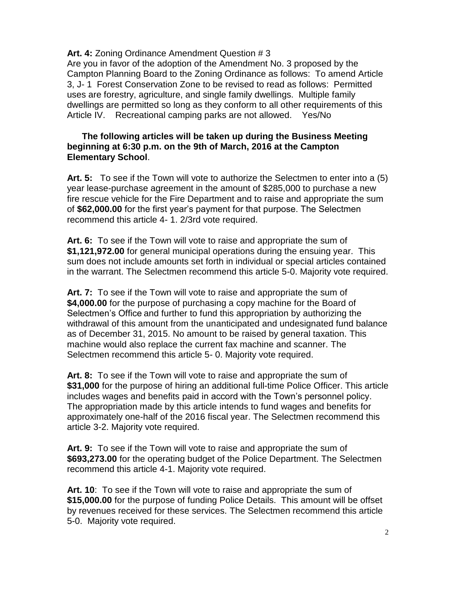## Art. 4: Zoning Ordinance Amendment Question # 3

Are you in favor of the adoption of the Amendment No. 3 proposed by the Campton Planning Board to the Zoning Ordinance as follows: To amend Article 3, J- 1 Forest Conservation Zone to be revised to read as follows: Permitted uses are forestry, agriculture, and single family dwellings. Multiple family dwellings are permitted so long as they conform to all other requirements of this Article IV. Recreational camping parks are not allowed. Yes/No

### **The following articles will be taken up during the Business Meeting beginning at 6:30 p.m. on the 9th of March, 2016 at the Campton Elementary School**.

**Art. 5:** To see if the Town will vote to authorize the Selectmen to enter into a (5) year lease-purchase agreement in the amount of \$285,000 to purchase a new fire rescue vehicle for the Fire Department and to raise and appropriate the sum of **\$62,000.00** for the first year's payment for that purpose. The Selectmen recommend this article 4- 1. 2/3rd vote required.

**Art. 6:** To see if the Town will vote to raise and appropriate the sum of **\$1,121,972.00** for general municipal operations during the ensuing year. This sum does not include amounts set forth in individual or special articles contained in the warrant. The Selectmen recommend this article 5-0. Majority vote required.

**Art. 7:** To see if the Town will vote to raise and appropriate the sum of **\$4,000.00** for the purpose of purchasing a copy machine for the Board of Selectmen's Office and further to fund this appropriation by authorizing the withdrawal of this amount from the unanticipated and undesignated fund balance as of December 31, 2015. No amount to be raised by general taxation. This machine would also replace the current fax machine and scanner. The Selectmen recommend this article 5- 0. Majority vote required.

**Art. 8:** To see if the Town will vote to raise and appropriate the sum of **\$31,000** for the purpose of hiring an additional full-time Police Officer. This article includes wages and benefits paid in accord with the Town's personnel policy. The appropriation made by this article intends to fund wages and benefits for approximately one-half of the 2016 fiscal year. The Selectmen recommend this article 3-2. Majority vote required.

**Art. 9:** To see if the Town will vote to raise and appropriate the sum of **\$693,273.00** for the operating budget of the Police Department. The Selectmen recommend this article 4-1. Majority vote required.

**Art. 10**: To see if the Town will vote to raise and appropriate the sum of **\$15,000.00** for the purpose of funding Police Details. This amount will be offset by revenues received for these services. The Selectmen recommend this article 5-0. Majority vote required.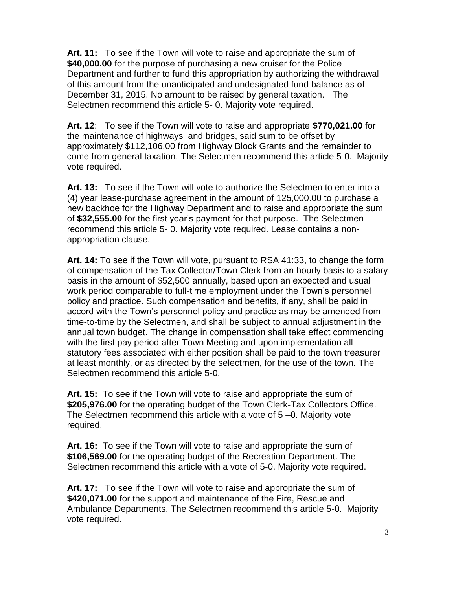**Art. 11:** To see if the Town will vote to raise and appropriate the sum of **\$40,000.00** for the purpose of purchasing a new cruiser for the Police Department and further to fund this appropriation by authorizing the withdrawal of this amount from the unanticipated and undesignated fund balance as of December 31, 2015. No amount to be raised by general taxation. The Selectmen recommend this article 5- 0. Majority vote required.

**Art. 12**: To see if the Town will vote to raise and appropriate **\$770,021.00** for the maintenance of highways and bridges, said sum to be offset by approximately \$112,106.00 from Highway Block Grants and the remainder to come from general taxation. The Selectmen recommend this article 5-0. Majority vote required.

**Art. 13:** To see if the Town will vote to authorize the Selectmen to enter into a (4) year lease-purchase agreement in the amount of 125,000.00 to purchase a new backhoe for the Highway Department and to raise and appropriate the sum of **\$32,555.00** for the first year's payment for that purpose. The Selectmen recommend this article 5- 0. Majority vote required. Lease contains a nonappropriation clause.

**Art. 14:** To see if the Town will vote, pursuant to RSA 41:33, to change the form of compensation of the Tax Collector/Town Clerk from an hourly basis to a salary basis in the amount of \$52,500 annually, based upon an expected and usual work period comparable to full-time employment under the Town's personnel policy and practice. Such compensation and benefits, if any, shall be paid in accord with the Town's personnel policy and practice as may be amended from time-to-time by the Selectmen, and shall be subject to annual adjustment in the annual town budget. The change in compensation shall take effect commencing with the first pay period after Town Meeting and upon implementation all statutory fees associated with either position shall be paid to the town treasurer at least monthly, or as directed by the selectmen, for the use of the town. The Selectmen recommend this article 5-0.

**Art. 15:** To see if the Town will vote to raise and appropriate the sum of **\$205,976.00** for the operating budget of the Town Clerk-Tax Collectors Office. The Selectmen recommend this article with a vote of 5 –0. Majority vote required.

**Art. 16:** To see if the Town will vote to raise and appropriate the sum of **\$106,569.00** for the operating budget of the Recreation Department. The Selectmen recommend this article with a vote of 5-0. Majority vote required.

**Art. 17:** To see if the Town will vote to raise and appropriate the sum of **\$420,071.00** for the support and maintenance of the Fire, Rescue and Ambulance Departments. The Selectmen recommend this article 5-0. Majority vote required.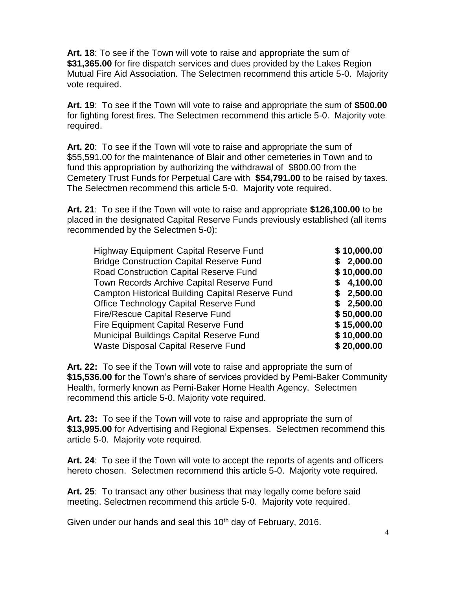**Art. 18**: To see if the Town will vote to raise and appropriate the sum of **\$31,365.00** for fire dispatch services and dues provided by the Lakes Region Mutual Fire Aid Association. The Selectmen recommend this article 5-0. Majority vote required.

**Art. 19**: To see if the Town will vote to raise and appropriate the sum of **\$500.00** for fighting forest fires. The Selectmen recommend this article 5-0. Majority vote required.

**Art. 20**: To see if the Town will vote to raise and appropriate the sum of \$55,591.00 for the maintenance of Blair and other cemeteries in Town and to fund this appropriation by authorizing the withdrawal of \$800.00 from the Cemetery Trust Funds for Perpetual Care with **\$54,791.00** to be raised by taxes. The Selectmen recommend this article 5-0. Majority vote required.

**Art. 21**: To see if the Town will vote to raise and appropriate **\$126,100.00** to be placed in the designated Capital Reserve Funds previously established (all items recommended by the Selectmen 5-0):

| Highway Equipment Capital Reserve Fund                  | \$10,000.00 |
|---------------------------------------------------------|-------------|
| <b>Bridge Construction Capital Reserve Fund</b>         | \$2,000.00  |
| <b>Road Construction Capital Reserve Fund</b>           | \$10,000.00 |
| Town Records Archive Capital Reserve Fund               | \$4,100.00  |
| <b>Campton Historical Building Capital Reserve Fund</b> | \$2,500.00  |
| <b>Office Technology Capital Reserve Fund</b>           | \$2,500.00  |
| Fire/Rescue Capital Reserve Fund                        | \$50,000.00 |
| Fire Equipment Capital Reserve Fund                     | \$15,000.00 |
| Municipal Buildings Capital Reserve Fund                | \$10,000.00 |
| Waste Disposal Capital Reserve Fund                     | \$20,000.00 |
|                                                         |             |

**Art. 22:** To see if the Town will vote to raise and appropriate the sum of **\$15,536.00 f**or the Town's share of services provided by Pemi-Baker Community Health, formerly known as Pemi-Baker Home Health Agency. Selectmen recommend this article 5-0. Majority vote required.

**Art. 23:** To see if the Town will vote to raise and appropriate the sum of **\$13,995.00** for Advertising and Regional Expenses. Selectmen recommend this article 5-0. Majority vote required.

**Art. 24**: To see if the Town will vote to accept the reports of agents and officers hereto chosen. Selectmen recommend this article 5-0. Majority vote required.

**Art. 25**: To transact any other business that may legally come before said meeting. Selectmen recommend this article 5-0. Majority vote required.

Given under our hands and seal this  $10<sup>th</sup>$  day of February, 2016.